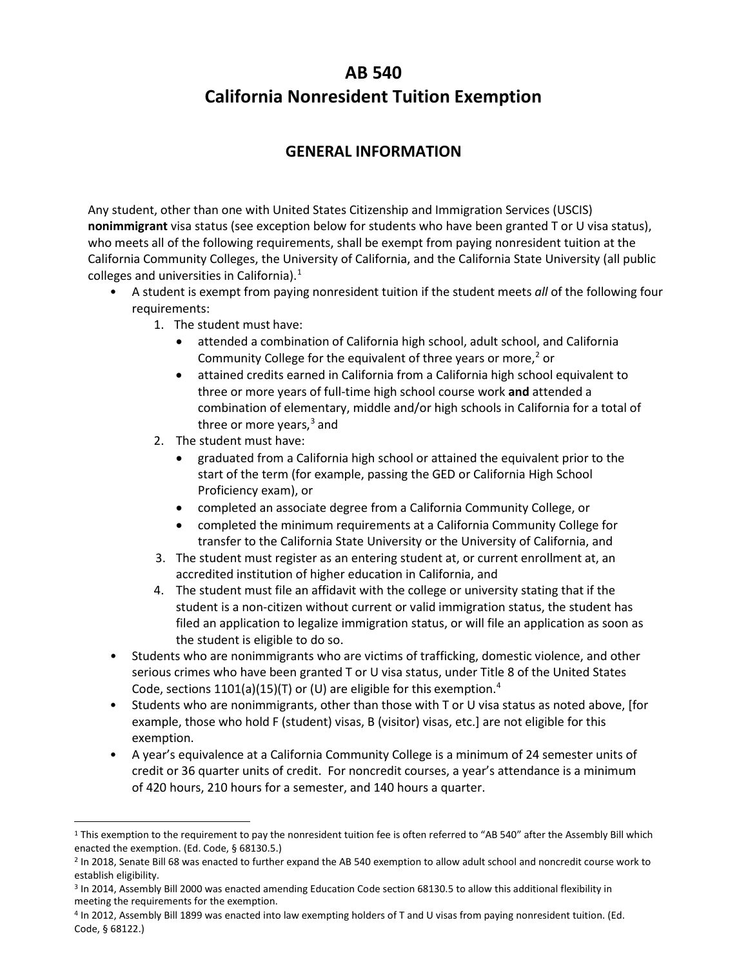# **AB 540 California Nonresident Tuition Exemption**

## **GENERAL INFORMATION**

Any student, other than one with United States Citizenship and Immigration Services (USCIS) **nonimmigrant** visa status (see exception below for students who have been granted T or U visa status), who meets all of the following requirements, shall be exempt from paying nonresident tuition at the California Community Colleges, the University of California, and the California State University (all public colleges and universities in California)[.1](#page-0-0)

- A student is exempt from paying nonresident tuition if the student meets *all* of the following four requirements:
	- 1. The student must have:
		- attended a combination of California high school, adult school, and California Community College for the equivalent of three years or more, $<sup>2</sup>$  or</sup>
		- attained credits earned in California from a California high school equivalent to three or more years of full-time high school course work **and** attended a combination of elementary, middle and/or high schools in California for a total of three or more years,<sup>[3](#page-0-2)</sup> and
	- 2. The student must have:
		- graduated from a California high school or attained the equivalent prior to the start of the term (for example, passing the GED or California High School Proficiency exam), or
		- completed an associate degree from a California Community College, or
		- completed the minimum requirements at a California Community College for transfer to the California State University or the University of California, and
	- 3. The student must register as an entering student at, or current enrollment at, an accredited institution of higher education in California, and
	- 4. The student must file an affidavit with the college or university stating that if the student is a non-citizen without current or valid immigration status, the student has filed an application to legalize immigration status, or will file an application as soon as the student is eligible to do so.
- Students who are nonimmigrants who are victims of trafficking, domestic violence, and other serious crimes who have been granted T or U visa status, under Title 8 of the United States Code, sections  $1101(a)(15)(T)$  or (U) are eligible for this exemption.<sup>[4](#page-0-3)</sup>
- Students who are nonimmigrants, other than those with T or U visa status as noted above, [for example, those who hold F (student) visas, B (visitor) visas, etc.] are not eligible for this exemption.
- A year's equivalence at a California Community College is a minimum of 24 semester units of credit or 36 quarter units of credit. For noncredit courses, a year's attendance is a minimum of 420 hours, 210 hours for a semester, and 140 hours a quarter.

<span id="page-0-0"></span><sup>&</sup>lt;sup>1</sup> This exemption to the requirement to pay the nonresident tuition fee is often referred to "AB 540" after the Assembly Bill which enacted the exemption. (Ed. Code, § 68130.5.)

<span id="page-0-1"></span><sup>2</sup> In 2018, Senate Bill 68 was enacted to further expand the AB 540 exemption to allow adult school and noncredit course work to establish eligibility.

<span id="page-0-2"></span><sup>&</sup>lt;sup>3</sup> In 2014, Assembly Bill 2000 was enacted amending Education Code section 68130.5 to allow this additional flexibility in meeting the requirements for the exemption.

<span id="page-0-3"></span><sup>4</sup> In 2012, Assembly Bill 1899 was enacted into law exempting holders of T and U visas from paying nonresident tuition. (Ed. Code, § 68122.)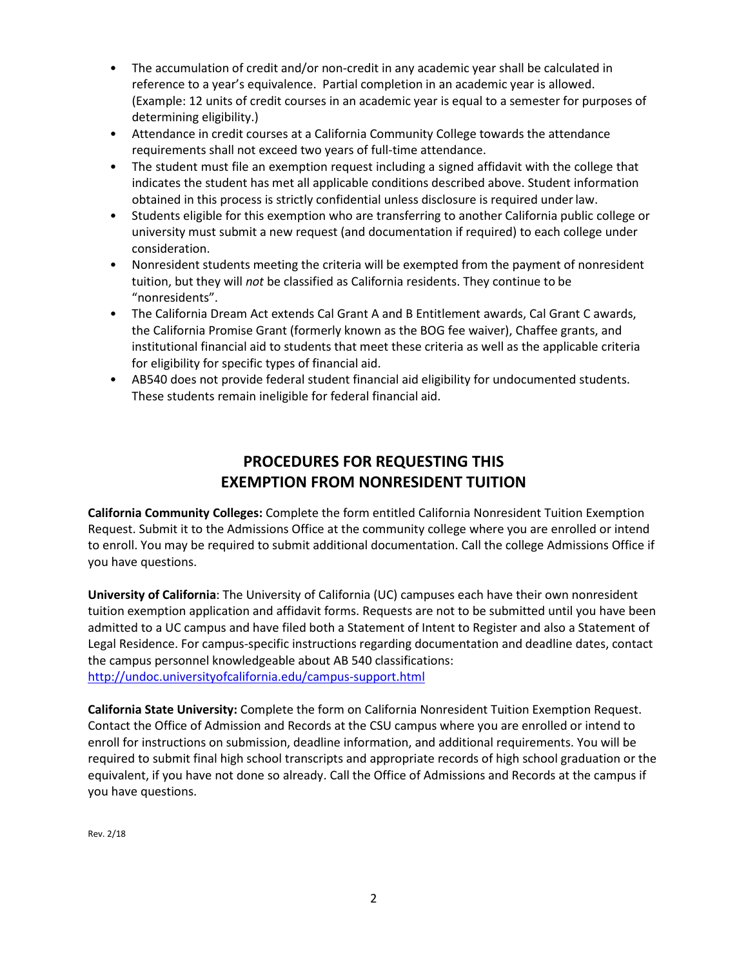- The accumulation of credit and/or non-credit in any academic year shall be calculated in reference to a year's equivalence. Partial completion in an academic year is allowed. (Example: 12 units of credit courses in an academic year is equal to a semester for purposes of determining eligibility.)
- Attendance in credit courses at a California Community College towards the attendance requirements shall not exceed two years of full-time attendance.
- The student must file an exemption request including a signed affidavit with the college that indicates the student has met all applicable conditions described above. Student information obtained in this process is strictly confidential unless disclosure is required underlaw.
- Students eligible for this exemption who are transferring to another California public college or university must submit a new request (and documentation if required) to each college under consideration.
- Nonresident students meeting the criteria will be exempted from the payment of nonresident tuition, but they will *not* be classified as California residents. They continue to be "nonresidents".
- The California Dream Act extends Cal Grant A and B Entitlement awards, Cal Grant C awards, the California Promise Grant (formerly known as the BOG fee waiver), Chaffee grants, and institutional financial aid to students that meet these criteria as well as the applicable criteria for eligibility for specific types of financial aid.
- AB540 does not provide federal student financial aid eligibility for undocumented students. These students remain ineligible for federal financial aid.

## **PROCEDURES FOR REQUESTING THIS EXEMPTION FROM NONRESIDENT TUITION**

**California Community Colleges:** Complete the form entitled California Nonresident Tuition Exemption Request. Submit it to the Admissions Office at the community college where you are enrolled or intend to enroll. You may be required to submit additional documentation. Call the college Admissions Office if you have questions.

**University of California**: The University of California (UC) campuses each have their own nonresident tuition exemption application and affidavit forms. Requests are not to be submitted until you have been admitted to a UC campus and have filed both a Statement of Intent to Register and also a Statement of Legal Residence. For campus-specific instructions regarding documentation and deadline dates, contact the campus personnel knowledgeable about AB 540 classifications: <http://undoc.universityofcalifornia.edu/campus-support.html>

**California State University:** Complete the form on California Nonresident Tuition Exemption Request. Contact the Office of Admission and Records at the CSU campus where you are enrolled or intend to enroll for instructions on submission, deadline information, and additional requirements. You will be required to submit final high school transcripts and appropriate records of high school graduation or the equivalent, if you have not done so already. Call the Office of Admissions and Records at the campus if you have questions.

Rev. 2/18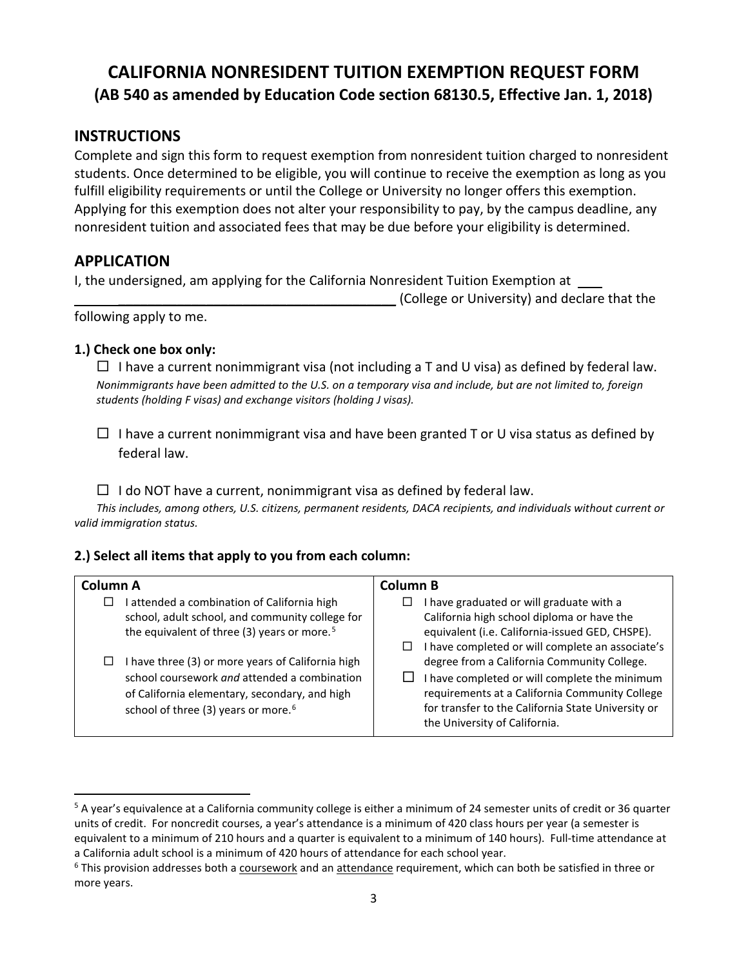## **CALIFORNIA NONRESIDENT TUITION EXEMPTION REQUEST FORM (AB 540 as amended by Education Code section 68130.5, Effective Jan. 1, 2018)**

### **INSTRUCTIONS**

Complete and sign this form to request exemption from nonresident tuition charged to nonresident students. Once determined to be eligible, you will continue to receive the exemption as long as you fulfill eligibility requirements or until the College or University no longer offers this exemption. Applying for this exemption does not alter your responsibility to pay, by the campus deadline, any nonresident tuition and associated fees that may be due before your eligibility is determined.

#### **APPLICATION**

I, the undersigned, am applying for the California Nonresident Tuition Exemption at

\_\_\_\_\_\_\_\_\_\_\_\_\_\_\_\_\_\_\_\_\_\_\_\_\_\_\_\_\_\_\_\_\_\_\_\_\_\_ (College or University) and declare that the

following apply to me.

#### **1.) Check one box only:**

 $\Box$  I have a current nonimmigrant visa (not including a T and U visa) as defined by federal law. *Nonimmigrants have been admitted to the U.S. on a temporary visa and include, but are not limited to, foreign students (holding F visas) and exchange visitors (holding J visas).*

 $\Box$  I have a current nonimmigrant visa and have been granted T or U visa status as defined by federal law.

 $\Box$  I do NOT have a current, nonimmigrant visa as defined by federal law.

*This includes, among others, U.S. citizens, permanent residents, DACA recipients, and individuals without current or valid immigration status.*

#### **2.) Select all items that apply to you from each column:**

| Column A |                                                                                                                                                                                                       | Column B |                                                                                                                                                                                                                                       |  |  |
|----------|-------------------------------------------------------------------------------------------------------------------------------------------------------------------------------------------------------|----------|---------------------------------------------------------------------------------------------------------------------------------------------------------------------------------------------------------------------------------------|--|--|
| ⊔        | attended a combination of California high<br>school, adult school, and community college for<br>the equivalent of three (3) years or more. <sup>5</sup>                                               | $\Box$   | I have graduated or will graduate with a<br>California high school diploma or have the<br>equivalent (i.e. California-issued GED, CHSPE).<br>I have completed or will complete an associate's                                         |  |  |
| ⊔        | I have three (3) or more years of California high<br>school coursework and attended a combination<br>of California elementary, secondary, and high<br>school of three (3) years or more. <sup>6</sup> |          | degree from a California Community College.<br>I have completed or will complete the minimum<br>requirements at a California Community College<br>for transfer to the California State University or<br>the University of California. |  |  |

<span id="page-2-0"></span> $5$  A year's equivalence at a California community college is either a minimum of 24 semester units of credit or 36 quarter units of credit. For noncredit courses, a year's attendance is a minimum of 420 class hours per year (a semester is equivalent to a minimum of 210 hours and a quarter is equivalent to a minimum of 140 hours). Full-time attendance at a California adult school is a minimum of 420 hours of attendance for each school year.

<span id="page-2-1"></span> $6$  This provision addresses both a coursework and an attendance requirement, which can both be satisfied in three or more years.